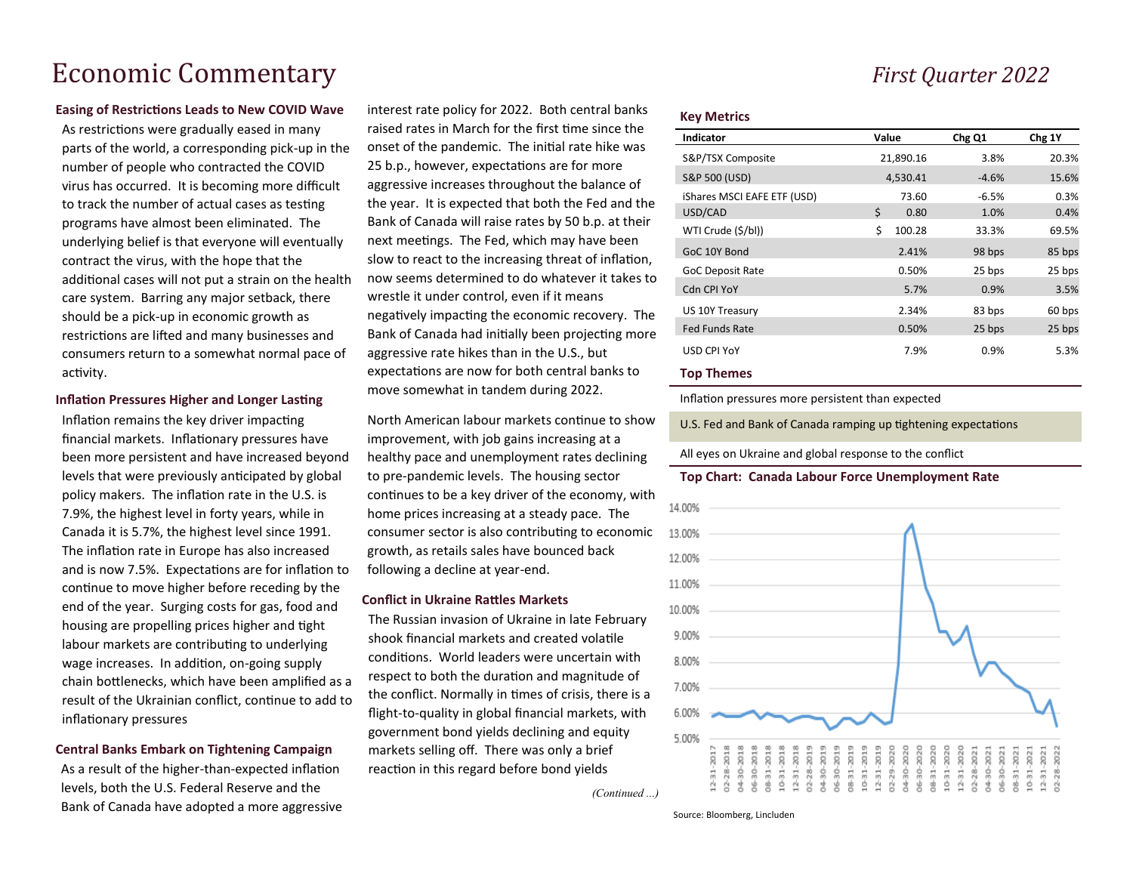# Economic Commentary *First Quarter 2022*

### **Easing of Restrictions Leads to New COVID Wave**

As restrictions were gradually eased in many parts of the world, a corresponding pick-up in the number of people who contracted the COVID virus has occurred. It is becoming more difficult to track the number of actual cases as testing programs have almost been eliminated. The underlying belief is that everyone will eventually contract the virus, with the hope that the additional cases will not put a strain on the health care system. Barring any major setback, there should be a pick-up in economic growth as restrictions are lifted and many businesses and consumers return to a somewhat normal pace of activity.

# **Inflation Pressures Higher and Longer Lasting**

Inflation remains the key driver impacting financial markets. Inflationary pressures have been more persistent and have increased beyond levels that were previously anticipated by global policy makers. The inflation rate in the U.S. is 7.9%, the highest level in forty years, while in Canada it is 5.7%, the highest level since 1991. The inflation rate in Europe has also increased and is now 7.5%. Expectations are for inflation to continue to move higher before receding by the end of the year. Surging costs for gas, food and housing are propelling prices higher and tight labour markets are contributing to underlying wage increases. In addition, on-going supply chain bottlenecks, which have been amplified as a result of the Ukrainian conflict, continue to add to inflationary pressures

# **Central Banks Embark on Tightening Campaign**

As a result of the higher-than-expected inflation levels, both the U.S. Federal Reserve and the Bank of Canada have adopted a more aggressive interest rate policy for 2022. Both central banks raised rates in March for the first time since the onset of the pandemic. The initial rate hike was 25 b.p., however, expectations are for more aggressive increases throughout the balance of the year. It is expected that both the Fed and the Bank of Canada will raise rates by 50 b.p. at their next meetings. The Fed, which may have been slow to react to the increasing threat of inflation, now seems determined to do whatever it takes to wrestle it under control, even if it means negatively impacting the economic recovery. The Bank of Canada had initially been projecting more aggressive rate hikes than in the U.S., but expectations are now for both central banks to move somewhat in tandem during 2022.

North American labour markets continue to show improvement, with job gains increasing at a healthy pace and unemployment rates declining to pre-pandemic levels. The housing sector continues to be a key driver of the economy, with home prices increasing at a steady pace. The consumer sector is also contributing to economic growth, as retails sales have bounced back following a decline at year-end.

## **Conflict in Ukraine Rattles Markets**

The Russian invasion of Ukraine in late February shook financial markets and created volatile conditions. World leaders were uncertain with respect to both the duration and magnitude of the conflict. Normally in times of crisis, there is a flight-to-quality in global financial markets, with government bond yields declining and equity markets selling off. There was only a brief reaction in this regard before bond yields

*(Continued ...)*

#### **Key Metrics**

| <b>Indicator</b>            | Value        | Chg Q1  | Chg 1Y |
|-----------------------------|--------------|---------|--------|
| S&P/TSX Composite           | 21,890.16    | 3.8%    | 20.3%  |
| <b>S&amp;P 500 (USD)</b>    | 4,530.41     | $-4.6%$ | 15.6%  |
| iShares MSCI EAFE ETF (USD) | 73.60        | $-6.5%$ | 0.3%   |
| USD/CAD                     | Ś<br>0.80    | 1.0%    | 0.4%   |
| WTI Crude (\$/bl))          | \$<br>100.28 | 33.3%   | 69.5%  |
| GoC 10Y Bond                | 2.41%        | 98 bps  | 85 bps |
| <b>GoC Deposit Rate</b>     | 0.50%        | 25 bps  | 25 bps |
| <b>Cdn CPI YoY</b>          | 5.7%         | 0.9%    | 3.5%   |
| US 10Y Treasury             | 2.34%        | 83 bps  | 60 bps |
| <b>Fed Funds Rate</b>       | 0.50%        | 25 bps  | 25 bps |
| <b>USD CPI YoY</b>          | 7.9%         | 0.9%    | 5.3%   |
| . .                         |              |         |        |

#### **Top Themes**

Inflation pressures more persistent than expected

U.S. Fed and Bank of Canada ramping up tightening expectations

All eyes on Ukraine and global response to the conflict

### **Top Chart: Canada Labour Force Unemployment Rate**



Source: Bloomberg, Lincluden